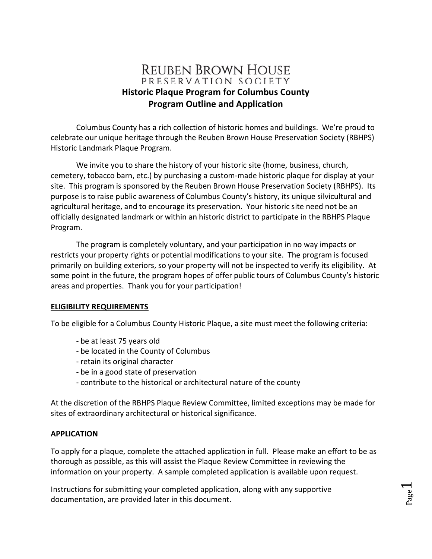# **REUBEN BROWN HOUSE** PRESERVATION SOCIETY **Historic Plaque Program for Columbus County Program Outline and Application**

Columbus County has a rich collection of historic homes and buildings. We're proud to celebrate our unique heritage through the Reuben Brown House Preservation Society (RBHPS) Historic Landmark Plaque Program.

We invite you to share the history of your historic site (home, business, church, cemetery, tobacco barn, etc.) by purchasing a custom-made historic plaque for display at your site. This program is sponsored by the Reuben Brown House Preservation Society (RBHPS). Its purpose is to raise public awareness of Columbus County's history, its unique silvicultural and agricultural heritage, and to encourage its preservation. Your historic site need not be an officially designated landmark or within an historic district to participate in the RBHPS Plaque Program.

The program is completely voluntary, and your participation in no way impacts or restricts your property rights or potential modifications to your site. The program is focused primarily on building exteriors, so your property will not be inspected to verify its eligibility. At some point in the future, the program hopes of offer public tours of Columbus County's historic areas and properties. Thank you for your participation!

### **ELIGIBILITY REQUIREMENTS**

To be eligible for a Columbus County Historic Plaque, a site must meet the following criteria:

- be at least 75 years old
- be located in the County of Columbus
- retain its original character
- be in a good state of preservation
- contribute to the historical or architectural nature of the county

At the discretion of the RBHPS Plaque Review Committee, limited exceptions may be made for sites of extraordinary architectural or historical significance.

#### **APPLICATION**

To apply for a plaque, complete the attached application in full. Please make an effort to be as thorough as possible, as this will assist the Plaque Review Committee in reviewing the information on your property. A sample completed application is available upon request.

Instructions for submitting your completed application, along with any supportive documentation, are provided later in this document.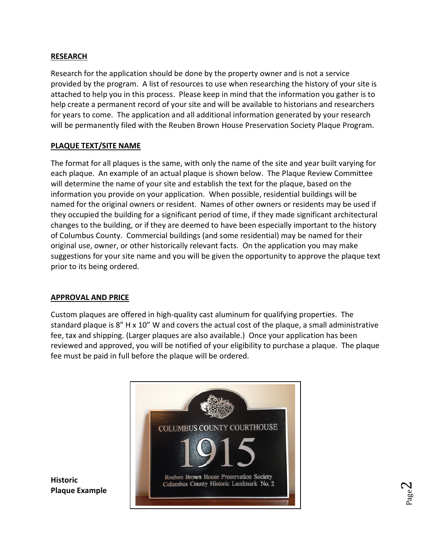### **RESEARCH**

Research for the application should be done by the property owner and is not a service provided by the program. A list of resources to use when researching the history of your site is attached to help you in this process. Please keep in mind that the information you gather is to help create a permanent record of your site and will be available to historians and researchers for years to come. The application and all additional information generated by your research will be permanently filed with the Reuben Brown House Preservation Society Plaque Program.

## **PLAQUE TEXT/SITE NAME**

The format for all plaques is the same, with only the name of the site and year built varying for each plaque. An example of an actual plaque is shown below. The Plaque Review Committee will determine the name of your site and establish the text for the plaque, based on the information you provide on your application. When possible, residential buildings will be named for the original owners or resident. Names of other owners or residents may be used if they occupied the building for a significant period of time, if they made significant architectural changes to the building, or if they are deemed to have been especially important to the history of Columbus County. Commercial buildings (and some residential) may be named for their original use, owner, or other historically relevant facts. On the application you may make suggestions for your site name and you will be given the opportunity to approve the plaque text prior to its being ordered.

### **APPROVAL AND PRICE**

Custom plaques are offered in high-quality cast aluminum for qualifying properties. The standard plaque is 8" H x 10" W and covers the actual cost of the plaque, a small administrative fee, tax and shipping. (Larger plaques are also available.) Once your application has been reviewed and approved, you will be notified of your eligibility to purchase a plaque. The plaque fee must be paid in full before the plaque will be ordered.



**Historic Plaque Example**